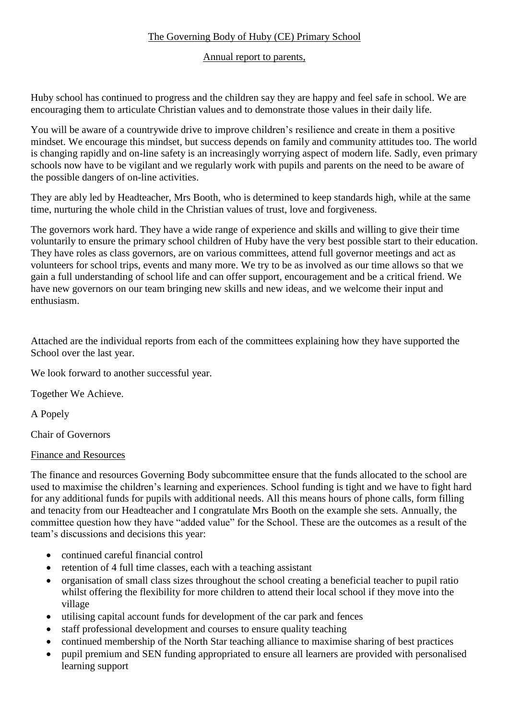# The Governing Body of Huby (CE) Primary School

### Annual report to parents,

Huby school has continued to progress and the children say they are happy and feel safe in school. We are encouraging them to articulate Christian values and to demonstrate those values in their daily life.

You will be aware of a countrywide drive to improve children's resilience and create in them a positive mindset. We encourage this mindset, but success depends on family and community attitudes too. The world is changing rapidly and on-line safety is an increasingly worrying aspect of modern life. Sadly, even primary schools now have to be vigilant and we regularly work with pupils and parents on the need to be aware of the possible dangers of on-line activities.

They are ably led by Headteacher, Mrs Booth, who is determined to keep standards high, while at the same time, nurturing the whole child in the Christian values of trust, love and forgiveness.

The governors work hard. They have a wide range of experience and skills and willing to give their time voluntarily to ensure the primary school children of Huby have the very best possible start to their education. They have roles as class governors, are on various committees, attend full governor meetings and act as volunteers for school trips, events and many more. We try to be as involved as our time allows so that we gain a full understanding of school life and can offer support, encouragement and be a critical friend. We have new governors on our team bringing new skills and new ideas, and we welcome their input and enthusiasm.

Attached are the individual reports from each of the committees explaining how they have supported the School over the last year.

We look forward to another successful year.

Together We Achieve.

A Popely

Chair of Governors

#### Finance and Resources

The finance and resources Governing Body subcommittee ensure that the funds allocated to the school are used to maximise the children's learning and experiences. School funding is tight and we have to fight hard for any additional funds for pupils with additional needs. All this means hours of phone calls, form filling and tenacity from our Headteacher and I congratulate Mrs Booth on the example she sets. Annually, the committee question how they have "added value" for the School. These are the outcomes as a result of the team's discussions and decisions this year:

- continued careful financial control
- retention of 4 full time classes, each with a teaching assistant
- organisation of small class sizes throughout the school creating a beneficial teacher to pupil ratio whilst offering the flexibility for more children to attend their local school if they move into the village
- utilising capital account funds for development of the car park and fences
- staff professional development and courses to ensure quality teaching
- continued membership of the North Star teaching alliance to maximise sharing of best practices
- pupil premium and SEN funding appropriated to ensure all learners are provided with personalised learning support